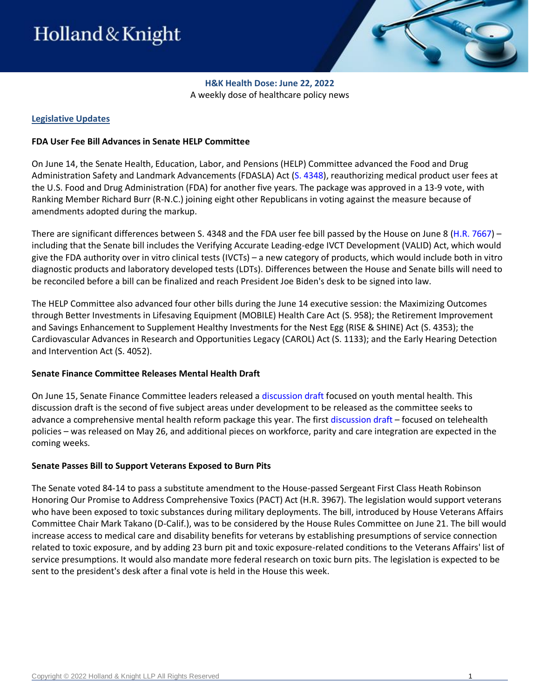

**H&K Health Dose: June 22, 2022** A weekly dose of healthcare policy news

### **Legislative Updates**

### **FDA User Fee Bill Advances in Senate HELP Committee**

On June 14, the Senate Health, Education, Labor, and Pensions (HELP) Committee advanced the Food and Drug Administration Safety and Landmark Advancements (FDASLA) Act [\(S. 4348\)](https://www.congress.gov/bill/117th-congress/senate-bill/4348), reauthorizing medical product user fees at the U.S. Food and Drug Administration (FDA) for another five years. The package was approved in a 13-9 vote, with Ranking Member Richard Burr (R-N.C.) joining eight other Republicans in voting against the measure because of amendments adopted during the markup.

There are significant differences between S. 4348 and the FDA user fee bill passed by the House on June 8 [\(H.R. 7667\)](https://www.congress.gov/117/bills/hr7667/BILLS-117hr7667rh.pdf) – including that the Senate bill includes the Verifying Accurate Leading-edge IVCT Development (VALID) Act, which would give the FDA authority over in vitro clinical tests (IVCTs) – a new category of products, which would include both in vitro diagnostic products and laboratory developed tests (LDTs). Differences between the House and Senate bills will need to be reconciled before a bill can be finalized and reach President Joe Biden's desk to be signed into law.

The HELP Committee also advanced four other bills during the June 14 executive session: the Maximizing Outcomes through Better Investments in Lifesaving Equipment (MOBILE) Health Care Act (S. 958); the Retirement Improvement and Savings Enhancement to Supplement Healthy Investments for the Nest Egg (RISE & SHINE) Act (S. 4353); the Cardiovascular Advances in Research and Opportunities Legacy (CAROL) Act (S. 1133); and the Early Hearing Detection and Intervention Act (S. 4052).

#### **Senate Finance Committee Releases Mental Health Draft**

On June 15, Senate Finance Committee leaders released a [discussion draft](https://www.finance.senate.gov/chairmans-news/wyden-crapo-carper-cassidy-unveil-youth-mental-health-discussion-draft) focused on youth mental health. This discussion draft is the second of five subject areas under development to be released as the committee seeks to advance a comprehensive mental health reform package this year. The first [discussion draft](https://www.finance.senate.gov/imo/media/doc/052622%20Telemental%20Health%20Discussion%20Draft.pdf) – focused on telehealth policies – was released on May 26, and additional pieces on workforce, parity and care integration are expected in the coming weeks.

#### **Senate Passes Bill to Support Veterans Exposed to Burn Pits**

The Senate voted 84-14 to pass a substitute amendment to the House-passed Sergeant First Class Heath Robinson Honoring Our Promise to Address Comprehensive Toxics (PACT) Act (H.R. 3967). The legislation would support veterans who have been exposed to toxic substances during military deployments. The bill, introduced by House Veterans Affairs Committee Chair Mark Takano (D-Calif.), was to be considered by the House Rules Committee on June 21. The bill would increase access to medical care and disability benefits for veterans by establishing presumptions of service connection related to toxic exposure, and by adding 23 burn pit and toxic exposure-related conditions to the Veterans Affairs' list of service presumptions. It would also mandate more federal research on toxic burn pits. The legislation is expected to be sent to the president's desk after a final vote is held in the House this week.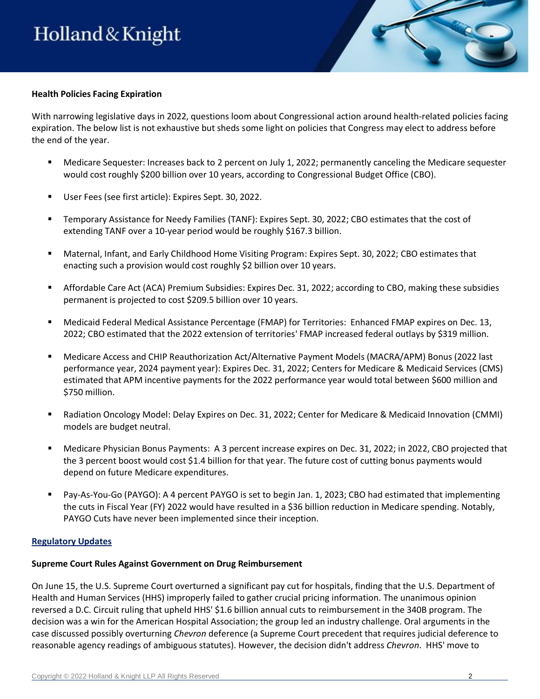

# **Health Policies Facing Expiration**

With narrowing legislative days in 2022, questions loom about Congressional action around health-related policies facing expiration. The below list is not exhaustive but sheds some light on policies that Congress may elect to address before the end of the year.

- Medicare Sequester: Increases back to 2 percent on July 1, 2022; permanently canceling the Medicare sequester would cost roughly \$200 billion over 10 years, according to Congressional Budget Office (CBO).
- User Fees (see first article): Expires Sept. 30, 2022.
- Temporary Assistance for Needy Families (TANF): Expires Sept. 30, 2022; CBO estimates that the cost of extending TANF over a 10-year period would be roughly \$167.3 billion.
- Maternal, Infant, and Early Childhood Home Visiting Program: Expires Sept. 30, 2022; CBO estimates that enacting such a provision would cost roughly \$2 billion over 10 years.
- Affordable Care Act (ACA) Premium Subsidies: Expires Dec. 31, 2022; according to CBO, making these subsidies permanent is projected to cost \$209.5 billion over 10 years.
- Medicaid Federal Medical Assistance Percentage (FMAP) for Territories: Enhanced FMAP expires on Dec. 13, 2022; CBO estimated that the 2022 extension of territories' FMAP increased federal outlays by \$319 million.
- Medicare Access and CHIP Reauthorization Act/Alternative Payment Models (MACRA/APM) Bonus (2022 last performance year, 2024 payment year): Expires Dec. 31, 2022; Centers for Medicare & Medicaid Services (CMS) estimated that APM incentive payments for the 2022 performance year would total between \$600 million and \$750 million.
- Radiation Oncology Model: Delay Expires on Dec. 31, 2022; Center for Medicare & Medicaid Innovation (CMMI) models are budget neutral.
- Medicare Physician Bonus Payments: A 3 percent increase expires on Dec. 31, 2022; in 2022, CBO projected that the 3 percent boost would cost \$1.4 billion for that year. The future cost of cutting bonus payments would depend on future Medicare expenditures.
- Pay-As-You-Go (PAYGO): A 4 percent PAYGO is set to begin Jan. 1, 2023; CBO had estimated that implementing the cuts in Fiscal Year (FY) 2022 would have resulted in a \$36 billion reduction in Medicare spending. Notably, PAYGO Cuts have never been implemented since their inception.

# **Regulatory Updates**

#### **Supreme Court Rules Against Government on Drug Reimbursement**

On June 15, the U.S. Supreme Court overturned a significant pay cut for hospitals, finding that the U.S. Department of Health and Human Services (HHS) improperly failed to gather crucial pricing information. The unanimous opinion reversed a D.C. Circuit ruling that upheld HHS' \$1.6 billion annual cuts to reimbursement in the 340B program. The decision was a win for the American Hospital Association; the group led an industry challenge. Oral arguments in the case discussed possibly overturning *Chevron* deference (a Supreme Court precedent that requires judicial deference to reasonable agency readings of ambiguous statutes). However, the decision didn't address *Chevron*. HHS' move to